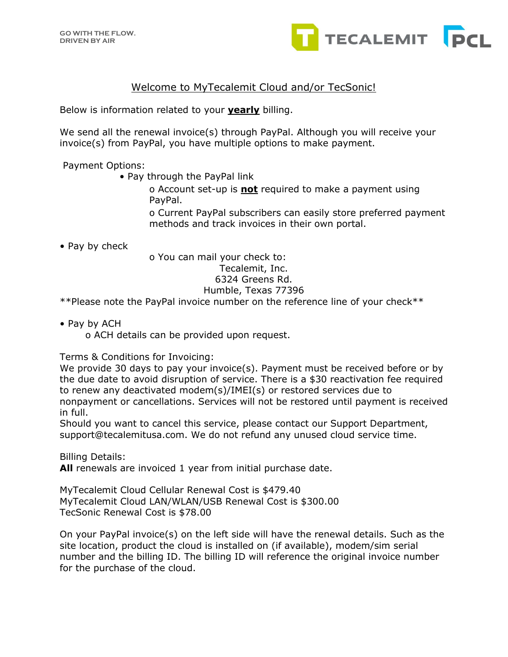

## Welcome to MyTecalemit Cloud and/or TecSonic!

Below is information related to your **yearly** billing.

We send all the renewal invoice(s) through PayPal. Although you will receive your invoice(s) from PayPal, you have multiple options to make payment.

Payment Options:

• Pay through the PayPal link

o Account set-up is **not** required to make a payment using PayPal.

o Current PayPal subscribers can easily store preferred payment methods and track invoices in their own portal.

• Pay by check

o You can mail your check to: Tecalemit, Inc. 6324 Greens Rd. Humble, Texas 77396

\*\*Please note the PayPal invoice number on the reference line of your check\*\*

• Pay by ACH

o ACH details can be provided upon request.

Terms & Conditions for Invoicing:

We provide 30 days to pay your invoice(s). Payment must be received before or by the due date to avoid disruption of service. There is a \$30 reactivation fee required to renew any deactivated modem(s)/IMEI(s) or restored services due to nonpayment or cancellations. Services will not be restored until payment is received in full.

Should you want to cancel this service, please contact our Support Department, support@tecalemitusa.com. We do not refund any unused cloud service time.

Billing Details:

**All** renewals are invoiced 1 year from initial purchase date.

MyTecalemit Cloud Cellular Renewal Cost is \$479.40 MyTecalemit Cloud LAN/WLAN/USB Renewal Cost is \$300.00 TecSonic Renewal Cost is \$78.00

On your PayPal invoice(s) on the left side will have the renewal details. Such as the site location, product the cloud is installed on (if available), modem/sim serial number and the billing ID. The billing ID will reference the original invoice number for the purchase of the cloud.